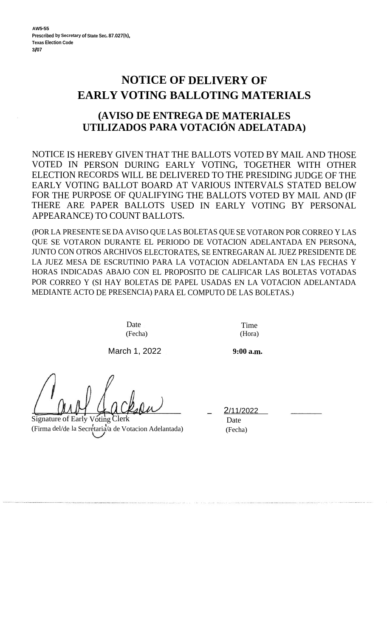## **NOTICE OF DELIVERY OF EARLY VOTING BALLOTING MATERIALS**

## **(AVISO DE ENTREGA DE MATERIALES UTILIZADOS PARA VOTACION ADELATADA)**

NOTICE IS HEREBY GIVEN THAT THE BALLOTS VOTED BY MAIL AND THOSE VOTED IN PERSON DURING EARLY VOTING, TOGETHER WITH OTHER ELECTION RECORDS WILL BE DELIVERED TO THE PRESIDING JUDGE OF THE EARLY VOTING BALLOT BOARD AT VARIOUS INTERVALS STATED BELOW FOR THE PURPOSE OF QUALIFYING THE BALLOTS VOTED BY MAIL AND (IF THERE ARE PAPER BALLOTS USED IN EARLY VOTING BY PERSONAL APPEARANCE) TO COUNT BALLOTS.

(POR LA PRESENTE SE DA AVISO QUE LAS BOLETAS QUE SE VOTARON POR CORREO Y LAS QUE SE VOTARON DURANTE EL PERIODO DE VOTACION ADELANTADA EN PERSONA, JUNTO CON OTROS ARCHIVOS ELECTORATES, SE ENTREGARAN AL JUEZ PRESIDENTE DE LA JUEZ MESA DE ESCRUTINIO PARA LA VOTACION ADELANTADA EN LAS FECHAS Y HORAS INDICADAS ABAJO CON EL PROPOSITO DE CALIFICAR LAS BOLETAS VOTADAS POR CORREO Y (SI HAY BOLETAS DE PAPEL USADAS EN LA VOTACION ADELANTADA MEDIANTE ACTO DE PRESENCIA) PARA EL COMPUTO DE LAS BOLETAS.)

> Date (Fecha)

March 1, 2022

Signature of Early Voting Clerk (Firma del/de la Secretaria/a de Votacion Adelantada)

Time (Hora)

**9:00 a.m.**

2/11/2022 Date

(Fecha)